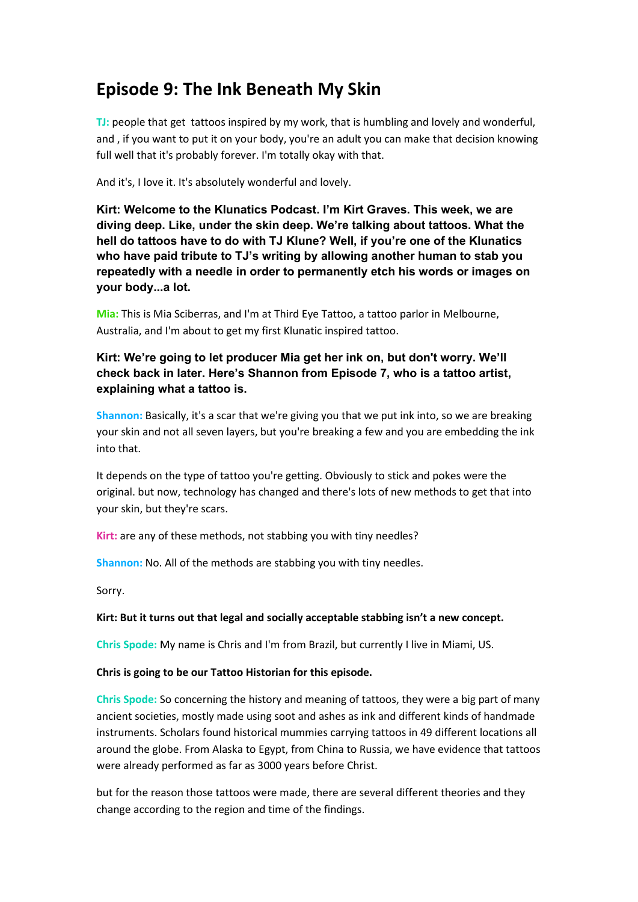# **Episode 9: The Ink Beneath My Skin**

**TJ:** people that get tattoos inspired by my work, that is humbling and lovely and wonderful, and , if you want to put it on your body, you're an adult you can make that decision knowing full well that it's probably forever. I'm totally okay with that.

And it's, I love it. It's absolutely wonderful and lovely.

**Kirt: Welcome to the Klunatics Podcast. I'm Kirt Graves. This week, we are diving deep. Like, under the skin deep. We're talking about tattoos. What the hell do tattoos have to do with TJ Klune? Well, if you're one of the Klunatics who have paid tribute to TJ's writing by allowing another human to stab you repeatedly with a needle in order to permanently etch his words or images on your body...a lot.**

**Mia:** This is Mia Sciberras, and I'm at Third Eye Tattoo, a tattoo parlor in Melbourne, Australia, and I'm about to get my first Klunatic inspired tattoo.

# **Kirt: We're going to let producer Mia get her ink on, but don't worry. We'll check back in later. Here's Shannon from Episode 7, who is a tattoo artist, explaining what a tattoo is.**

**Shannon:** Basically, it's a scar that we're giving you that we put ink into, so we are breaking your skin and not all seven layers, but you're breaking a few and you are embedding the ink into that.

It depends on the type of tattoo you're getting. Obviously to stick and pokes were the original. but now, technology has changed and there's lots of new methods to get that into your skin, but they're scars.

Kirt: are any of these methods, not stabbing you with tiny needles?

**Shannon:** No. All of the methods are stabbing you with tiny needles.

Sorry.

# **Kirt: But it turns out that legal and socially acceptable stabbing isn't a new concept.**

**Chris Spode:** My name is Chris and I'm from Brazil, but currently I live in Miami, US.

### **Chris is going to be our Tattoo Historian for this episode.**

**Chris Spode:** So concerning the history and meaning of tattoos, they were a big part of many ancient societies, mostly made using soot and ashes as ink and different kinds of handmade instruments. Scholars found historical mummies carrying tattoos in 49 different locations all around the globe. From Alaska to Egypt, from China to Russia, we have evidence that tattoos were already performed as far as 3000 years before Christ.

but for the reason those tattoos were made, there are several different theories and they change according to the region and time of the findings.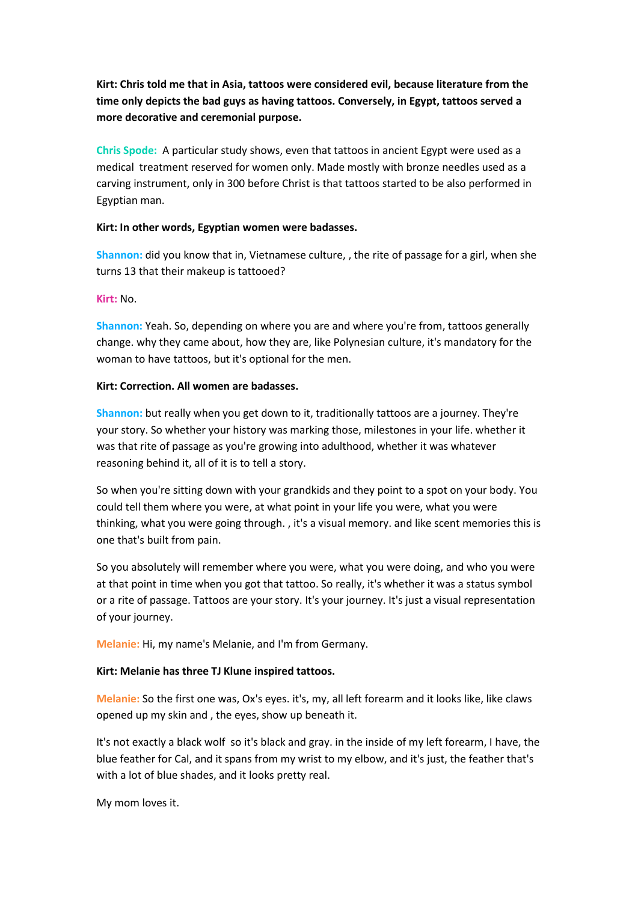**Kirt: Chris told me that in Asia, tattoos were considered evil, because literature from the time only depicts the bad guys as having tattoos. Conversely, in Egypt, tattoos served a more decorative and ceremonial purpose.**

**Chris Spode:** A particular study shows, even that tattoos in ancient Egypt were used as a medical treatment reserved for women only. Made mostly with bronze needles used as a carving instrument, only in 300 before Christ is that tattoos started to be also performed in Egyptian man.

### **Kirt: In other words, Egyptian women were badasses.**

**Shannon:** did you know that in, Vietnamese culture, , the rite of passage for a girl, when she turns 13 that their makeup is tattooed?

### **Kirt:** No.

**Shannon:** Yeah. So, depending on where you are and where you're from, tattoos generally change. why they came about, how they are, like Polynesian culture, it's mandatory for the woman to have tattoos, but it's optional for the men.

### **Kirt: Correction. All women are badasses.**

**Shannon:** but really when you get down to it, traditionally tattoos are a journey. They're your story. So whether your history was marking those, milestones in your life. whether it was that rite of passage as you're growing into adulthood, whether it was whatever reasoning behind it, all of it is to tell a story.

So when you're sitting down with your grandkids and they point to a spot on your body. You could tell them where you were, at what point in your life you were, what you were thinking, what you were going through. , it's a visual memory. and like scent memories this is one that's built from pain.

So you absolutely will remember where you were, what you were doing, and who you were at that point in time when you got that tattoo. So really, it's whether it was a status symbol or a rite of passage. Tattoos are your story. It's your journey. It's just a visual representation of your journey.

**Melanie:** Hi, my name's Melanie, and I'm from Germany.

### **Kirt: Melanie has three TJ Klune inspired tattoos.**

**Melanie:** So the first one was, Ox's eyes. it's, my, all left forearm and it looks like, like claws opened up my skin and , the eyes, show up beneath it.

It's not exactly a black wolf so it's black and gray. in the inside of my left forearm, I have, the blue feather for Cal, and it spans from my wrist to my elbow, and it's just, the feather that's with a lot of blue shades, and it looks pretty real.

My mom loves it.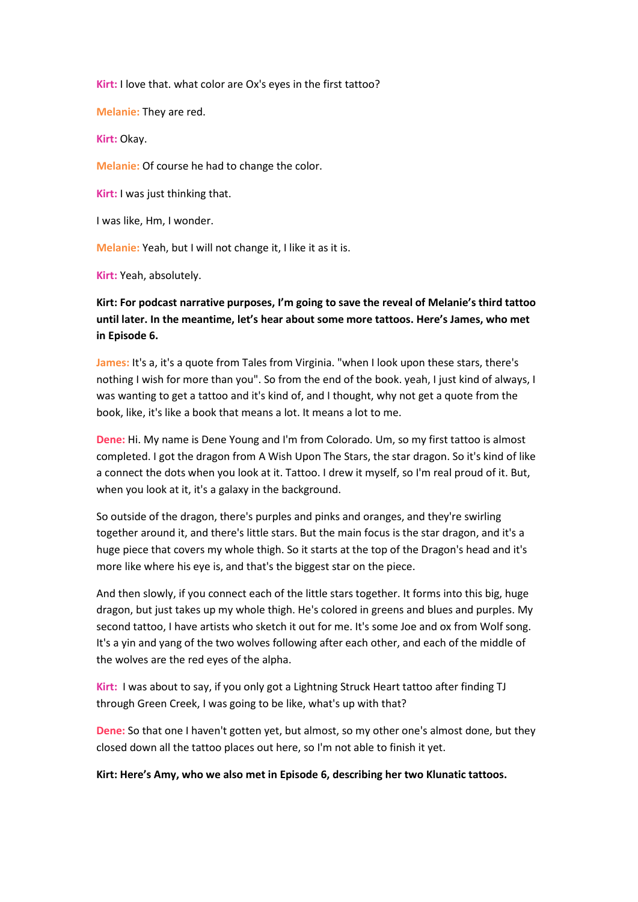**Kirt:** I love that. what color are Ox's eyes in the first tattoo?

**Melanie:** They are red.

**Kirt:** Okay.

**Melanie:** Of course he had to change the color.

**Kirt:** I was just thinking that.

I was like, Hm, I wonder.

**Melanie:** Yeah, but I will not change it, I like it as it is.

**Kirt:** Yeah, absolutely.

**Kirt: For podcast narrative purposes, I'm going to save the reveal of Melanie's third tattoo until later. In the meantime, let's hear about some more tattoos. Here's James, who met in Episode 6.**

**James:** It's a, it's a quote from Tales from Virginia. "when I look upon these stars, there's nothing I wish for more than you". So from the end of the book. yeah, I just kind of always, I was wanting to get a tattoo and it's kind of, and I thought, why not get a quote from the book, like, it's like a book that means a lot. It means a lot to me.

**Dene:** Hi. My name is Dene Young and I'm from Colorado. Um, so my first tattoo is almost completed. I got the dragon from A Wish Upon The Stars, the star dragon. So it's kind of like a connect the dots when you look at it. Tattoo. I drew it myself, so I'm real proud of it. But, when you look at it, it's a galaxy in the background.

So outside of the dragon, there's purples and pinks and oranges, and they're swirling together around it, and there's little stars. But the main focus is the star dragon, and it's a huge piece that covers my whole thigh. So it starts at the top of the Dragon's head and it's more like where his eye is, and that's the biggest star on the piece.

And then slowly, if you connect each of the little stars together. It forms into this big, huge dragon, but just takes up my whole thigh. He's colored in greens and blues and purples. My second tattoo, I have artists who sketch it out for me. It's some Joe and ox from Wolf song. It's a yin and yang of the two wolves following after each other, and each of the middle of the wolves are the red eyes of the alpha.

**Kirt:** I was about to say, if you only got a Lightning Struck Heart tattoo after finding TJ through Green Creek, I was going to be like, what's up with that?

**Dene:** So that one I haven't gotten yet, but almost, so my other one's almost done, but they closed down all the tattoo places out here, so I'm not able to finish it yet.

**Kirt: Here's Amy, who we also met in Episode 6, describing her two Klunatic tattoos.**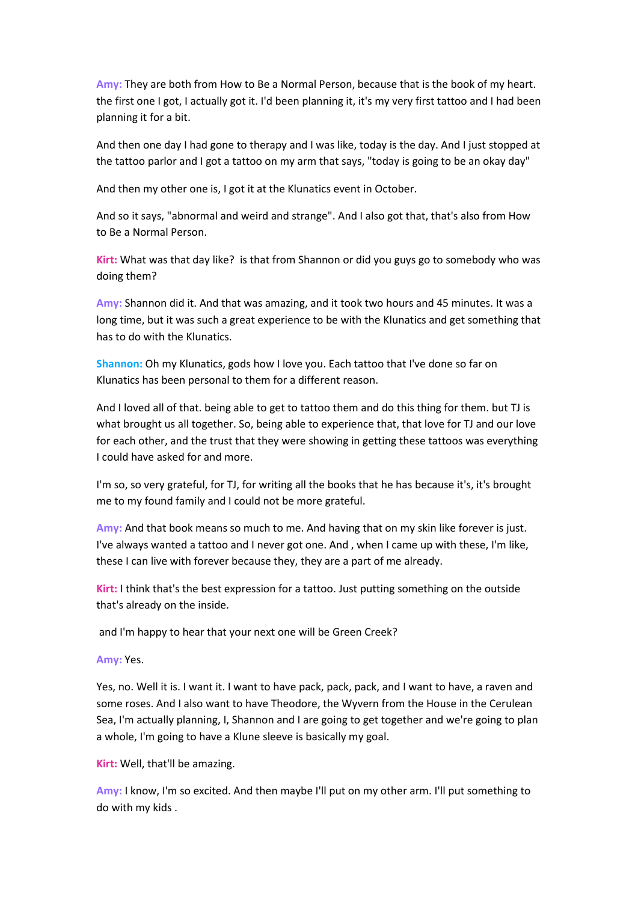**Amy:** They are both from How to Be a Normal Person, because that is the book of my heart. the first one I got, I actually got it. I'd been planning it, it's my very first tattoo and I had been planning it for a bit.

And then one day I had gone to therapy and I was like, today is the day. And I just stopped at the tattoo parlor and I got a tattoo on my arm that says, "today is going to be an okay day"

And then my other one is, I got it at the Klunatics event in October.

And so it says, "abnormal and weird and strange". And I also got that, that's also from How to Be a Normal Person.

**Kirt:** What was that day like? is that from Shannon or did you guys go to somebody who was doing them?

**Amy:** Shannon did it. And that was amazing, and it took two hours and 45 minutes. It was a long time, but it was such a great experience to be with the Klunatics and get something that has to do with the Klunatics.

**Shannon:** Oh my Klunatics, gods how I love you. Each tattoo that I've done so far on Klunatics has been personal to them for a different reason.

And I loved all of that. being able to get to tattoo them and do this thing for them. but TJ is what brought us all together. So, being able to experience that, that love for TJ and our love for each other, and the trust that they were showing in getting these tattoos was everything I could have asked for and more.

I'm so, so very grateful, for TJ, for writing all the books that he has because it's, it's brought me to my found family and I could not be more grateful.

**Amy:** And that book means so much to me. And having that on my skin like forever is just. I've always wanted a tattoo and I never got one. And , when I came up with these, I'm like, these I can live with forever because they, they are a part of me already.

**Kirt:** I think that's the best expression for a tattoo. Just putting something on the outside that's already on the inside.

and I'm happy to hear that your next one will be Green Creek?

**Amy:** Yes.

Yes, no. Well it is. I want it. I want to have pack, pack, pack, and I want to have, a raven and some roses. And I also want to have Theodore, the Wyvern from the House in the Cerulean Sea, I'm actually planning, I, Shannon and I are going to get together and we're going to plan a whole, I'm going to have a Klune sleeve is basically my goal.

**Kirt:** Well, that'll be amazing.

**Amy:** I know, I'm so excited. And then maybe I'll put on my other arm. I'll put something to do with my kids .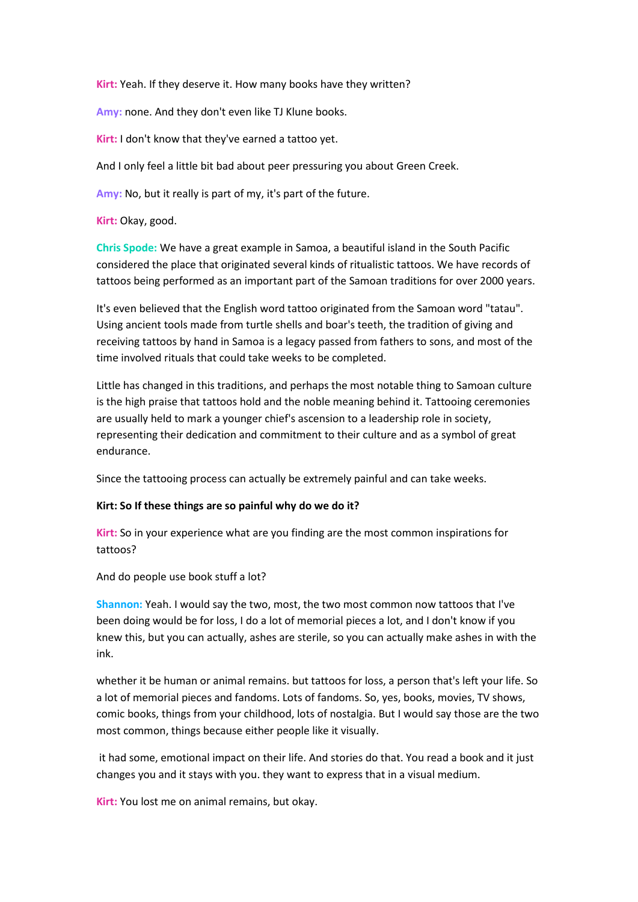**Kirt:** Yeah. If they deserve it. How many books have they written?

**Amy:** none. And they don't even like TJ Klune books.

**Kirt:** I don't know that they've earned a tattoo yet.

And I only feel a little bit bad about peer pressuring you about Green Creek.

**Amy:** No, but it really is part of my, it's part of the future.

**Kirt:** Okay, good.

**Chris Spode:** We have a great example in Samoa, a beautiful island in the South Pacific considered the place that originated several kinds of ritualistic tattoos. We have records of tattoos being performed as an important part of the Samoan traditions for over 2000 years.

It's even believed that the English word tattoo originated from the Samoan word "tatau". Using ancient tools made from turtle shells and boar's teeth, the tradition of giving and receiving tattoos by hand in Samoa is a legacy passed from fathers to sons, and most of the time involved rituals that could take weeks to be completed.

Little has changed in this traditions, and perhaps the most notable thing to Samoan culture is the high praise that tattoos hold and the noble meaning behind it. Tattooing ceremonies are usually held to mark a younger chief's ascension to a leadership role in society, representing their dedication and commitment to their culture and as a symbol of great endurance.

Since the tattooing process can actually be extremely painful and can take weeks.

#### **Kirt: So If these things are so painful why do we do it?**

**Kirt:** So in your experience what are you finding are the most common inspirations for tattoos?

And do people use book stuff a lot?

**Shannon:** Yeah. I would say the two, most, the two most common now tattoos that I've been doing would be for loss, I do a lot of memorial pieces a lot, and I don't know if you knew this, but you can actually, ashes are sterile, so you can actually make ashes in with the ink.

whether it be human or animal remains. but tattoos for loss, a person that's left your life. So a lot of memorial pieces and fandoms. Lots of fandoms. So, yes, books, movies, TV shows, comic books, things from your childhood, lots of nostalgia. But I would say those are the two most common, things because either people like it visually.

it had some, emotional impact on their life. And stories do that. You read a book and it just changes you and it stays with you. they want to express that in a visual medium.

**Kirt:** You lost me on animal remains, but okay.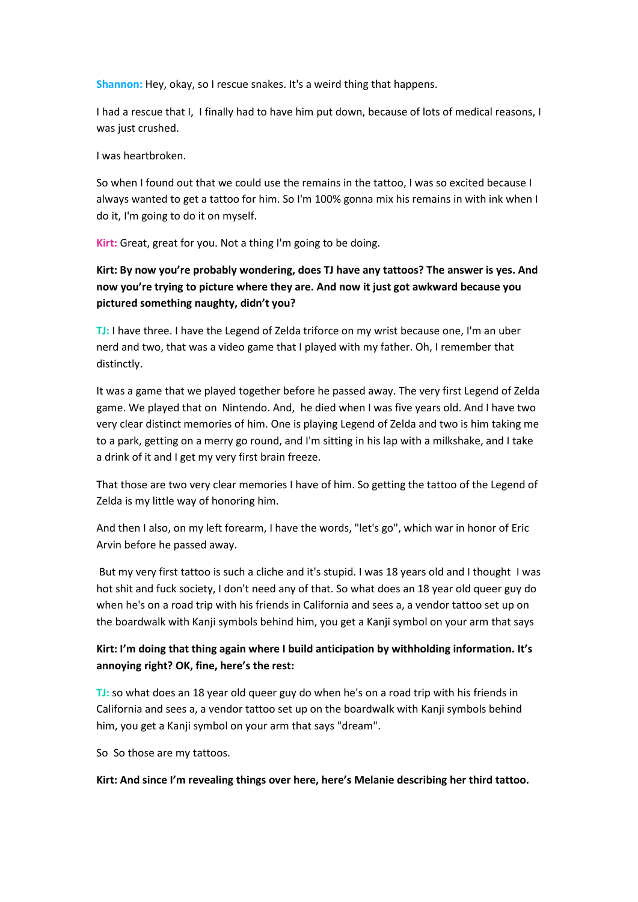**Shannon:** Hey, okay, so I rescue snakes. It's a weird thing that happens.

I had a rescue that I, I finally had to have him put down, because of lots of medical reasons, I was just crushed.

I was heartbroken.

So when I found out that we could use the remains in the tattoo, I was so excited because I always wanted to get a tattoo for him. So I'm 100% gonna mix his remains in with ink when I do it, I'm going to do it on myself.

**Kirt:** Great, great for you. Not a thing I'm going to be doing.

# **Kirt: By now you're probably wondering, does TJ have any tattoos? The answer is yes. And now you're trying to picture where they are. And now it just got awkward because you pictured something naughty, didn't you?**

**TJ:** I have three. I have the Legend of Zelda triforce on my wrist because one, I'm an uber nerd and two, that was a video game that I played with my father. Oh, I remember that distinctly.

It was a game that we played together before he passed away. The very first Legend of Zelda game. We played that on Nintendo. And, he died when I was five years old. And I have two very clear distinct memories of him. One is playing Legend of Zelda and two is him taking me to a park, getting on a merry go round, and I'm sitting in his lap with a milkshake, and I take a drink of it and I get my very first brain freeze.

That those are two very clear memories I have of him. So getting the tattoo of the Legend of Zelda is my little way of honoring him.

And then I also, on my left forearm, I have the words, "let's go", which war in honor of Eric Arvin before he passed away.

But my very first tattoo is such a cliche and it's stupid. I was 18 years old and I thought I was hot shit and fuck society, I don't need any of that. So what does an 18 year old queer guy do when he's on a road trip with his friends in California and sees a, a vendor tattoo set up on the boardwalk with Kanji symbols behind him, you get a Kanji symbol on your arm that says

# **Kirt: I'm doing that thing again where I build anticipation by withholding information. It's annoying right? OK, fine, here's the rest:**

**TJ:** so what does an 18 year old queer guy do when he's on a road trip with his friends in California and sees a, a vendor tattoo set up on the boardwalk with Kanji symbols behind him, you get a Kanji symbol on your arm that says "dream".

So So those are my tattoos.

**Kirt: And since I'm revealing things over here, here's Melanie describing her third tattoo.**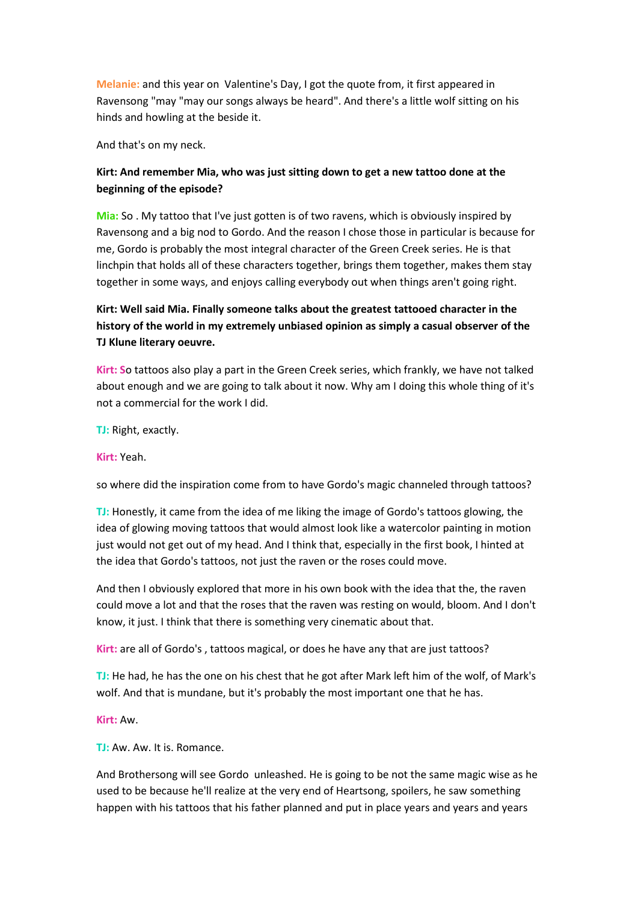**Melanie:** and this year on Valentine's Day, I got the quote from, it first appeared in Ravensong "may "may our songs always be heard". And there's a little wolf sitting on his hinds and howling at the beside it.

And that's on my neck.

# **Kirt: And remember Mia, who was just sitting down to get a new tattoo done at the beginning of the episode?**

**Mia:** So . My tattoo that I've just gotten is of two ravens, which is obviously inspired by Ravensong and a big nod to Gordo. And the reason I chose those in particular is because for me, Gordo is probably the most integral character of the Green Creek series. He is that linchpin that holds all of these characters together, brings them together, makes them stay together in some ways, and enjoys calling everybody out when things aren't going right.

# **Kirt: Well said Mia. Finally someone talks about the greatest tattooed character in the history of the world in my extremely unbiased opinion as simply a casual observer of the TJ Klune literary oeuvre.**

**Kirt: S**o tattoos also play a part in the Green Creek series, which frankly, we have not talked about enough and we are going to talk about it now. Why am I doing this whole thing of it's not a commercial for the work I did.

**TJ:** Right, exactly.

**Kirt:** Yeah.

so where did the inspiration come from to have Gordo's magic channeled through tattoos?

**TJ:** Honestly, it came from the idea of me liking the image of Gordo's tattoos glowing, the idea of glowing moving tattoos that would almost look like a watercolor painting in motion just would not get out of my head. And I think that, especially in the first book, I hinted at the idea that Gordo's tattoos, not just the raven or the roses could move.

And then I obviously explored that more in his own book with the idea that the, the raven could move a lot and that the roses that the raven was resting on would, bloom. And I don't know, it just. I think that there is something very cinematic about that.

**Kirt:** are all of Gordo's , tattoos magical, or does he have any that are just tattoos?

**TJ:** He had, he has the one on his chest that he got after Mark left him of the wolf, of Mark's wolf. And that is mundane, but it's probably the most important one that he has.

**Kirt:** Aw.

**TJ:** Aw. Aw. It is. Romance.

And Brothersong will see Gordo unleashed. He is going to be not the same magic wise as he used to be because he'll realize at the very end of Heartsong, spoilers, he saw something happen with his tattoos that his father planned and put in place years and years and years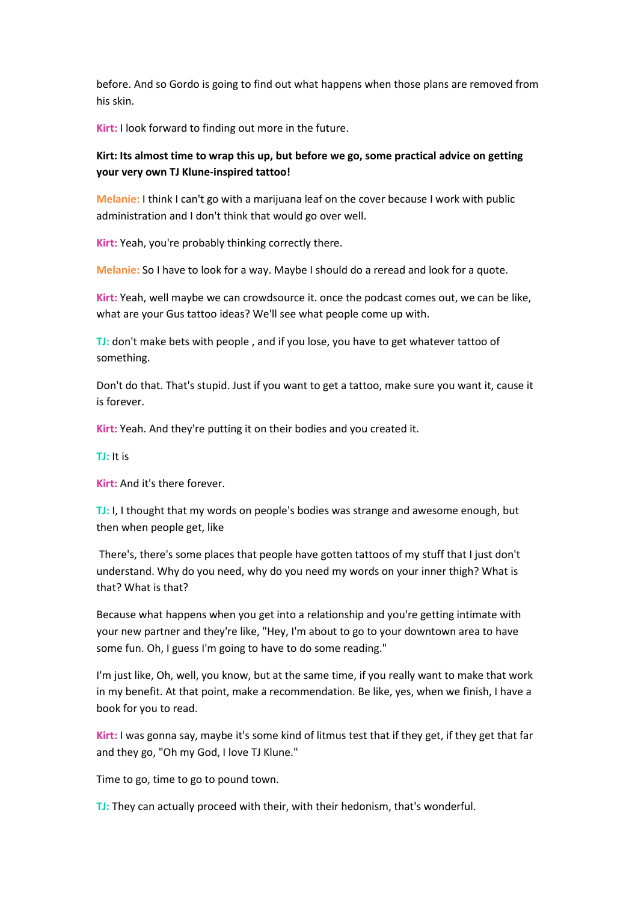before. And so Gordo is going to find out what happens when those plans are removed from his skin.

**Kirt:** I look forward to finding out more in the future.

## **Kirt: Its almost time to wrap this up, but before we go, some practical advice on getting your very own TJ Klune-inspired tattoo!**

**Melanie:** I think I can't go with a marijuana leaf on the cover because I work with public administration and I don't think that would go over well.

**Kirt:** Yeah, you're probably thinking correctly there.

**Melanie:** So I have to look for a way. Maybe I should do a reread and look for a quote.

**Kirt:** Yeah, well maybe we can crowdsource it. once the podcast comes out, we can be like, what are your Gus tattoo ideas? We'll see what people come up with.

**TJ:** don't make bets with people , and if you lose, you have to get whatever tattoo of something.

Don't do that. That's stupid. Just if you want to get a tattoo, make sure you want it, cause it is forever.

**Kirt:** Yeah. And they're putting it on their bodies and you created it.

**TJ:** It is

**Kirt:** And it's there forever.

**TJ:** I, I thought that my words on people's bodies was strange and awesome enough, but then when people get, like

There's, there's some places that people have gotten tattoos of my stuff that I just don't understand. Why do you need, why do you need my words on your inner thigh? What is that? What is that?

Because what happens when you get into a relationship and you're getting intimate with your new partner and they're like, "Hey, I'm about to go to your downtown area to have some fun. Oh, I guess I'm going to have to do some reading."

I'm just like, Oh, well, you know, but at the same time, if you really want to make that work in my benefit. At that point, make a recommendation. Be like, yes, when we finish, I have a book for you to read.

**Kirt:** I was gonna say, maybe it's some kind of litmus test that if they get, if they get that far and they go, "Oh my God, I love TJ Klune."

Time to go, time to go to pound town.

**TJ:** They can actually proceed with their, with their hedonism, that's wonderful.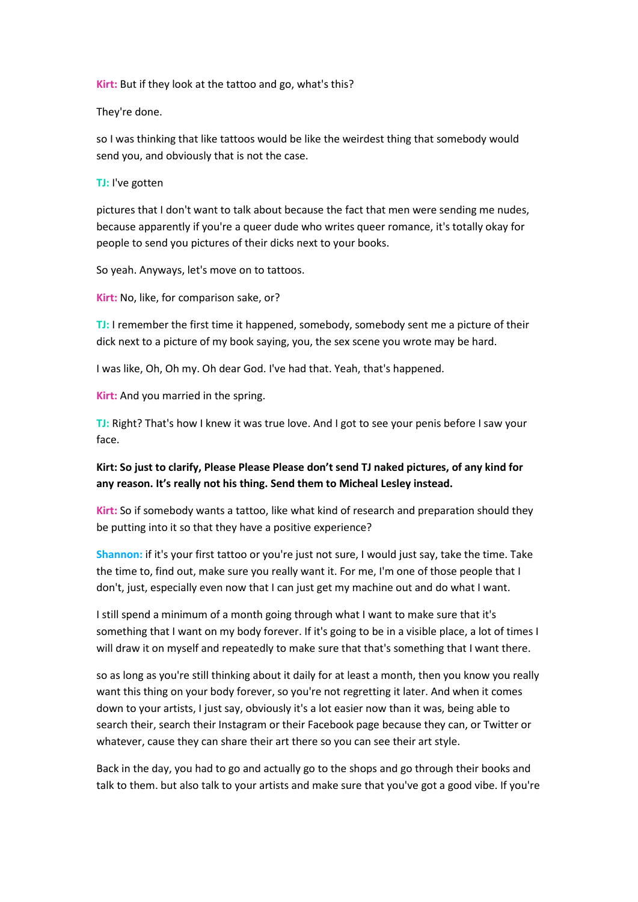**Kirt:** But if they look at the tattoo and go, what's this?

They're done.

so I was thinking that like tattoos would be like the weirdest thing that somebody would send you, and obviously that is not the case.

**TJ:** I've gotten

pictures that I don't want to talk about because the fact that men were sending me nudes, because apparently if you're a queer dude who writes queer romance, it's totally okay for people to send you pictures of their dicks next to your books.

So yeah. Anyways, let's move on to tattoos.

**Kirt:** No, like, for comparison sake, or?

**TJ:** I remember the first time it happened, somebody, somebody sent me a picture of their dick next to a picture of my book saying, you, the sex scene you wrote may be hard.

I was like, Oh, Oh my. Oh dear God. I've had that. Yeah, that's happened.

**Kirt:** And you married in the spring.

**TJ:** Right? That's how I knew it was true love. And I got to see your penis before I saw your face.

# **Kirt: So just to clarify, Please Please Please don't send TJ naked pictures, of any kind for any reason. It's really not his thing. Send them to Micheal Lesley instead.**

**Kirt:** So if somebody wants a tattoo, like what kind of research and preparation should they be putting into it so that they have a positive experience?

**Shannon:** if it's your first tattoo or you're just not sure, I would just say, take the time. Take the time to, find out, make sure you really want it. For me, I'm one of those people that I don't, just, especially even now that I can just get my machine out and do what I want.

I still spend a minimum of a month going through what I want to make sure that it's something that I want on my body forever. If it's going to be in a visible place, a lot of times I will draw it on myself and repeatedly to make sure that that's something that I want there.

so as long as you're still thinking about it daily for at least a month, then you know you really want this thing on your body forever, so you're not regretting it later. And when it comes down to your artists, I just say, obviously it's a lot easier now than it was, being able to search their, search their Instagram or their Facebook page because they can, or Twitter or whatever, cause they can share their art there so you can see their art style.

Back in the day, you had to go and actually go to the shops and go through their books and talk to them. but also talk to your artists and make sure that you've got a good vibe. If you're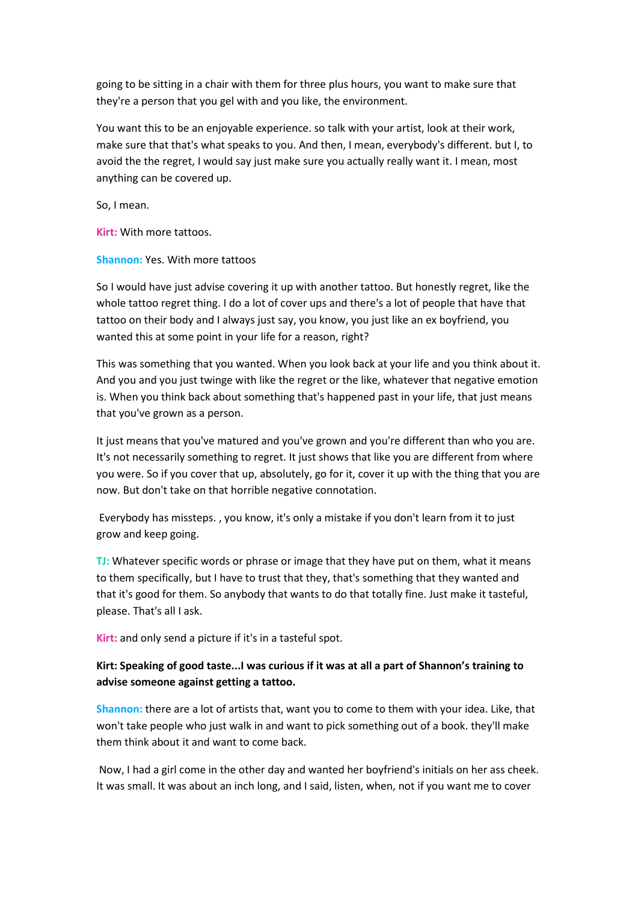going to be sitting in a chair with them for three plus hours, you want to make sure that they're a person that you gel with and you like, the environment.

You want this to be an enjoyable experience. so talk with your artist, look at their work, make sure that that's what speaks to you. And then, I mean, everybody's different. but I, to avoid the the regret, I would say just make sure you actually really want it. I mean, most anything can be covered up.

So, I mean.

**Kirt:** With more tattoos.

**Shannon:** Yes. With more tattoos

So I would have just advise covering it up with another tattoo. But honestly regret, like the whole tattoo regret thing. I do a lot of cover ups and there's a lot of people that have that tattoo on their body and I always just say, you know, you just like an ex boyfriend, you wanted this at some point in your life for a reason, right?

This was something that you wanted. When you look back at your life and you think about it. And you and you just twinge with like the regret or the like, whatever that negative emotion is. When you think back about something that's happened past in your life, that just means that you've grown as a person.

It just means that you've matured and you've grown and you're different than who you are. It's not necessarily something to regret. It just shows that like you are different from where you were. So if you cover that up, absolutely, go for it, cover it up with the thing that you are now. But don't take on that horrible negative connotation.

Everybody has missteps. , you know, it's only a mistake if you don't learn from it to just grow and keep going.

**TJ:** Whatever specific words or phrase or image that they have put on them, what it means to them specifically, but I have to trust that they, that's something that they wanted and that it's good for them. So anybody that wants to do that totally fine. Just make it tasteful, please. That's all I ask.

**Kirt:** and only send a picture if it's in a tasteful spot.

# **Kirt: Speaking of good taste...I was curious if it was at all a part of Shannon's training to advise someone against getting a tattoo.**

**Shannon:** there are a lot of artists that, want you to come to them with your idea. Like, that won't take people who just walk in and want to pick something out of a book. they'll make them think about it and want to come back.

Now, I had a girl come in the other day and wanted her boyfriend's initials on her ass cheek. It was small. It was about an inch long, and I said, listen, when, not if you want me to cover